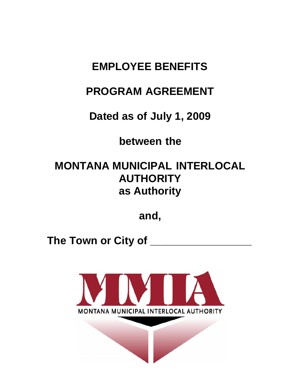# **EMPLOYEE BENEFITS**

# **PROGRAM AGREEMENT**

**Dated as of July 1, 2009**

**between the**

# **MONTANA MUNICIPAL INTERLOCAL AUTHORITY as Authority**

**and,**

**The Town or City of \_\_\_\_\_\_\_\_\_\_\_\_\_\_\_\_\_**

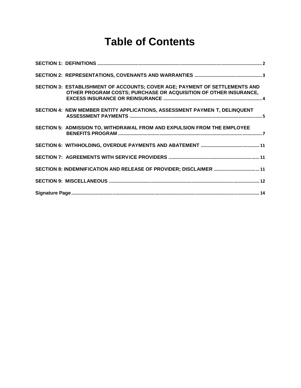# **Table of Contents**

| SECTION 3: ESTABLISHMENT OF ACCOUNTS; COVER AGE; PAYMENT OF SETTLEMENTS AND<br>OTHER PROGRAM COSTS; PURCHASE OR ACQUISITION OF OTHER INSURANCE, |
|-------------------------------------------------------------------------------------------------------------------------------------------------|
| SECTION 4: NEW MEMBER ENTITY APPLICATIONS, ASSESSMENT PAYMEN T, DELINQUENT                                                                      |
| SECTION 5: ADMISSION TO, WITHDRAWAL FROM AND EXPULSION FROM THE EMPLOYEE                                                                        |
|                                                                                                                                                 |
|                                                                                                                                                 |
| SECTION 8: INDEMNIFICATION AND RELEASE OF PROVIDER; DISCLAIMER  11                                                                              |
|                                                                                                                                                 |
|                                                                                                                                                 |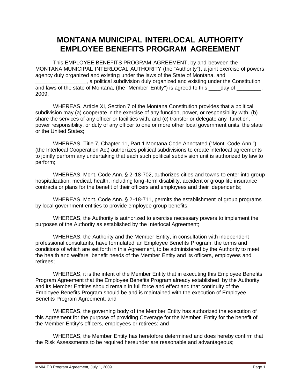## **MONTANA MUNICIPAL INTERLOCAL AUTHORITY EMPLOYEE BENEFITS PROGRAM AGREEMENT**

This EMPLOYEE BENEFITS PROGRAM AGREEMENT, by and between the MONTANA MUNICIPAL INTERLOCAL AUTHORITY (the "Authority"), a joint exercise of powers agency duly organized and existing under the laws of the State of Montana, and . a political subdivision duly organized and existing under the Constitution and laws of the state of Montana, (the "Member Entity") is agreed to this \_\_\_\_\_day of 2009;

WHEREAS, Article XI, Section 7 of the Montana Constitution provides that a political subdivision may (a) cooperate in the exercise of any function, power, or responsibility with, (b) share the services of any officer or facilities with, and (c) transfer or delegate any function, power responsibility, or duty of any officer to one or more other local government units, the state or the United States;

WHEREAS, Title 7, Chapter 11, Part 1 Montana Code Annotated ("Mont. Code Ann.") (the Interlocal Cooperation Act) authorizes political subdivisions to create interlocal agreements to jointly perform any undertaking that each such political subdivision unit is authorized by law to perform;

WHEREAS, Mont. Code Ann. § 2-18-702, authorizes cities and towns to enter into group hospitalization, medical, health, including long -term disability, accident or group life insurance contracts or plans for the benefit of their officers and employees and their dependents;

WHEREAS, Mont. Code Ann. § 2-18-711, permits the establishment of group programs by local government entities to provide employee group benefits;

WHEREAS, the Authority is authorized to exercise necessary powers to implement the purposes of the Authority as established by the Interlocal Agreement;

WHEREAS, the Authority and the Member Entity, in consultation with independent professional consultants, have formulated an Employee Benefits Program, the terms and conditions of which are set forth in this Agreement, to be administered by the Authority to meet the health and welfare benefit needs of the Member Entity and its officers, employees and retirees;

WHEREAS, it is the intent of the Member Entity that in executing this Employee Benefits Program Agreement that the Employee Benefits Program already established by the Authority and its Member Entities should remain in full force and effect and that continuity of the Employee Benefits Program should be and is maintained with the execution of Employee Benefits Program Agreement; and

WHEREAS, the governing body of the Member Entity has authorized the execution of this Agreement for the purpose of providing Coverage for the Member Entity for the benefit of the Member Entity's officers, employees or retirees; and

WHEREAS, the Member Entity has heretofore determined and does hereby confirm that the Risk Assessments to be required hereunder are reasonable and advantageous;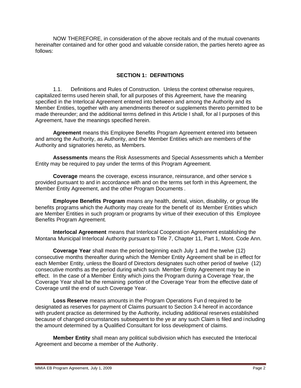NOW THEREFORE, in consideration of the above recitals and of the mutual covenants hereinafter contained and for other good and valuable conside ration, the parties hereto agree as follows:

#### **SECTION 1: DEFINITIONS**

1.1. Definitions and Rules of Construction. Unless the context otherwise requires, capitalized terms used herein shall, for all purposes of this Agreement, have the meaning specified in the Interlocal Agreement entered into between and among the Authority and its Member Entities, together with any amendments thereof or supplements thereto permitted to be made thereunder; and the additional terms defined in this Article I shall, for al l purposes of this Agreement, have the meanings specified herein.

**Agreement** means this Employee Benefits Program Agreement entered into between and among the Authority, as Authority, and the Member Entities which are members of the Authority and signatories hereto, as Members.

**Assessments** means the Risk Assessments and Special Assessments which a Member Entity may be required to pay under the terms of this Program Agreement.

**Coverage** means the coverage, excess insurance, reinsurance, and other service s provided pursuant to and in accordance with and on the terms set forth in this Agreement, the Member Entity Agreement, and the other Program Documents .

**Employee Benefits Program** means any health, dental, vision, disability, or group life benefits programs which the Authority may create for the benefit of its Member Entities which are Member Entities in such program or programs by virtue of their execution of this Employee Benefits Program Agreement.

**Interlocal Agreement** means that Interlocal Cooperation Agreement establishing the Montana Municipal Interlocal Authority pursuant to Title 7, Chapter 11, Part 1, Mont. Code Ann.

**Coverage Year** shall mean the period beginning each July 1 and the twelve (12) consecutive months thereafter during which the Member Entity Agreement shall be in effect for each Member Entity, unless the Board of Directors designates such other period of twelve (12) consecutive months as the period during which such Member Entity Agreement may be in effect. In the case of a Member Entity which joins the Program during a Coverage Year, the Coverage Year shall be the remaining portion of the Coverage Year from the effective date of Coverage until the end of such Coverage Year.

**Loss Reserve** means amounts in the Program Operations Fun d required to be designated as reserves for payment of Claims pursuant to Section 3.4 hereof in accordance with prudent practice as determined by the Authority, including additional reserves established because of changed circumstances subsequent to the ye ar any such Claim is filed and including the amount determined by a Qualified Consultant for loss development of claims.

**Member Entity** shall mean any political subdivision which has executed the Interlocal Agreement and become a member of the Authority .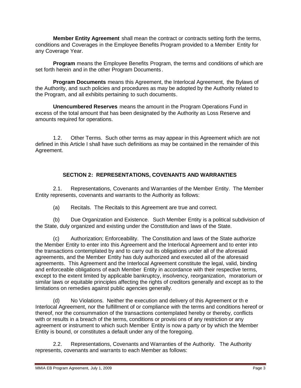**Member Entity Agreement** shall mean the contract or contracts setting forth the terms, conditions and Coverages in the Employee Benefits Program provided to a Member Entity for any Coverage Year.

**Program** means the Employee Benefits Program, the terms and conditions of which are set forth herein and in the other Program Documents.

**Program Documents** means this Agreement, the Interlocal Agreement, the Bylaws of the Authority, and such policies and procedures as may be adopted by the Authority related to the Program, and all exhibits pertaining to such documents.

**Unencumbered Reserves** means the amount in the Program Operations Fund in excess of the total amount that has been designated by the Authority as Loss Reserve and amounts required for operations.

1.2. Other Terms. Such other terms as may appear in this Agreement which are not defined in this Article I shall have such definitions as may be contained in the remainder of this Agreement.

### **SECTION 2: REPRESENTATIONS, COVENANTS AND WARRANTIES**

2.1. Representations, Covenants and Warranties of the Member Entity. The Member Entity represents, covenants and warrants to the Authority as follows:

(a) Recitals. The Recitals to this Agreement are true and correct.

(b) Due Organization and Existence. Such Member Entity is a political subdivision of the State, duly organized and existing under the Constitution and laws of the State.

(c) Authorization; Enforceability. The Constitution and laws of the State authorize the Member Entity to enter into this Agreement and the Interlocal Agreement and to enter into the transactions contemplated by and to carry out its obligations under all of the aforesaid agreements, and the Member Entity has duly authorized and executed all of the aforesaid agreements. This Agreement and the Interlocal Agreement constitute the legal, valid, binding and enforceable obligations of each Member Entity in accordance with their respective terms, except to the extent limited by applicable bankruptcy, insolvency, reorganization, moratorium or similar laws or equitable principles affecting the rights of creditors generally and except as to the limitations on remedies against public agencies generally.

(d) No Violations. Neither the execution and delivery of this Agreement or th e Interlocal Agreement, nor the fulfillment of or compliance with the terms and conditions hereof or thereof, nor the consummation of the transactions contemplated hereby or thereby, conflicts with or results in a breach of the terms, conditions or provisi ons of any restriction or any agreement or instrument to which such Member Entity is now a party or by which the Member Entity is bound, or constitutes a default under any of the foregoing.

2.2. Representations, Covenants and Warranties of the Authority. The Authority represents, covenants and warrants to each Member as follows: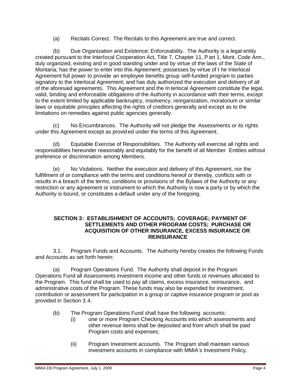(a) Recitals Correct. The Recitals to this Agreement are true and correct.

(b) Due Organization and Existence; Enforceability. The Authority is a legal entity created pursuant to the Interlocal Cooperation Act, Title 7, Chapter 11, Part 1, Mont. Code Ann., duly organized, existing and in good standing under and by virtue of the laws of the State of Montana; has the power to enter into this Agreement; possesses by virtue of t he Interlocal Agreement full power to provide an employee benefits group self-funded program to parties signatory to the Interlocal Agreement; and has duly authorized the execution and delivery of all of the aforesaid agreements. This Agreement and the In terlocal Agreement constitute the legal, valid, binding and enforceable obligations of the Authority in accordance with their terms, except to the extent limited by applicable bankruptcy, insolvency, reorganization, moratorium or similar laws or equitable principles affecting the rights of creditors generally and except as to the limitations on remedies against public agencies generally.

(c) No Encumbrances. The Authority will not pledge the Assessments or its rights under this Agreement except as provid ed under the terms of this Agreement.

(d) Equitable Exercise of Responsibilities. The Authority will exercise all rights and responsibilities hereunder reasonably and equitably for the benefit of all Member Entities without preference or discrimination among Members.

(e) No Violations. Neither the execution and delivery of this Agreement, nor the fulfillment of or compliance with the terms and conditions hereof or thereby, conflicts with or results in a breach of the terms, conditions or provisions of the Bylaws of the Authority or any restriction or any agreement or instrument to which the Authority is now a party or by which the Authority is bound, or constitutes a default under any of the foregoing.

#### **SECTION 3: ESTABLISHMENT OF ACCOUNTS; COVERAGE; PAYMENT OF SETTLEMENTS AND OTHER PROGRAM COSTS; PURCHASE OR ACQUISITION OF OTHER INSURANCE, EXCESS INSURANCE OR REINSURANCE**

3.1. Program Funds and Accounts. The Authority hereby creates the following Funds and Accounts as set forth herein:

(a) Program Operations Fund. The Authority shall deposit in the Program Operations Fund all Assessments investment income and other funds or revenues allocated to the Program. This fund shall be used to pay all claims, excess insurance, reinsurance, and administrative costs of the Program. These funds may also be expended for investment, contribution or assessment for participation in a group or captive insurance program or pool as provided in Section 3.4.

- (b) The Program Operations Fund shall have the following accounts:
	- (i) one or more Program Checking Accounts into which assessments and other revenue items shall be deposited and from which shall be paid Program costs and expenses;
	- (ii) Program Investment accounts. The Program shall maintain various investment accounts in compliance with MMIA's Investment Policy.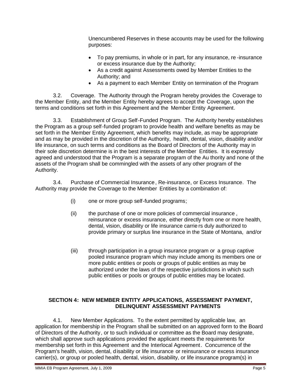Unencumbered Reserves in these accounts may be used for the following purposes:

- To pay premiums, in whole or in part, for any insurance, re -insurance or excess insurance due by the Authority;
- As a credit against Assessments owed by Member Entities to the Authority; and
- As a payment to each Member Entity on termination of the Program

3.2. Coverage. The Authority through the Program hereby provides the Coverage to the Member Entity, and the Member Entity hereby agrees to accept the Coverage, upon the terms and conditions set forth in this Agreement and the Member Entity Agreement.

3.3. Establishment of Group Self-Funded Program. The Authority hereby establishes the Program as a group self-funded program to provide health and welfare benefits as may be set forth in the Member Entity Agreement, which benefits may include, as may be appropriate and as may be provided in the discretion of the Authority, health, dental, vision, disability and/or life insurance, on such terms and conditions as the Board of Directors of the Authority may in their sole discretion determine is in the best interests of the Member Entities. It is expressly agreed and understood that the Program is a separate program of the Au thority and none of the assets of the Program shall be commingled with the assets of any other program of the Authority.

3.4. Purchase of Commercial Insurance, Re-insurance, or Excess Insurance. The Authority may provide the Coverage to the Member Entities by a combination of:

- (i) one or more group self-funded programs;
- (ii) the purchase of one or more policies of commercial insurance , reinsurance or excess insurance, either directly from one or more health, dental, vision, disability or life insurance carrie rs duly authorized to provide primary or surplus line insurance in the State of Montana, and/or
- (iii) through participation in a group insurance program or a group captive pooled insurance program which may include among its members one or more public entities or pools or groups of public entities as may be authorized under the laws of the respective jurisdictions in which such public entities or pools or groups of public entities may be located.

### **SECTION 4: NEW MEMBER ENTITY APPLICATIONS, ASSESSMENT PAYMENT, DELINQUENT ASSESSMENT PAYMENTS**

4.1. New Member Applications. To the extent permitted by applicable law, an application for membership in the Program shall be submitted on an approved form to the Board of Directors of the Authority, or to such individual or committee as the Board may designate, which shall approve such applications provided the applicant meets the requirements for membership set forth in this Agreement and the Interlocal Agreement. Concurrence of the Program's health, vision, dental, disability or life insurance or reinsurance or excess insurance carrier(s), or group or pooled health, dental, vision, disability, or life insurance program(s) in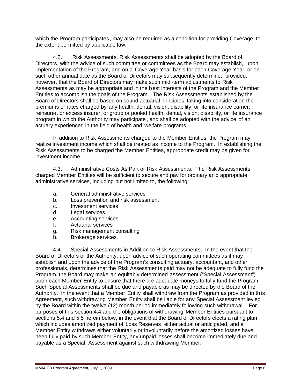which the Program participates, may also be required as a condition for providing Coverage, to the extent permitted by applicable law.

4.2. Risk Assessments. Risk Assessments shall be adopted by the Board of Directors, with the advice of such committee or committees as the Board may establish, upon implementation of the Program, and on a Coverage Year basis for each Coverage Year, or on such other annual date as the Board of Directors may subsequently determine, provided, however, that the Board of Directors may make such mid -term adjustments to Risk Assessments as may be appropriate and in the best interests of the Program and the Member Entities to accomplish the goals of the Program. The Risk Assessments established by the Board of Directors shall be based on sound actuarial principles taking into consideration the premiums or rates charged by any health, dental, vision, disability, or life insurance carrier, reinsurer, or excess insurer, or group or pooled health, dental, vision, disability, or life insurance program in which the Authority may participate , and shall be adopted with the advice of an actuary experienced in the field of health and welfare programs.

In addition to Risk Assessments charged to the Member Entities, the Program may realize investment income which shall be treated as income to the Program. In establishing the Risk Assessments to be charged the Member Entities, appropriate credit may be given for investment income.

4.3. Administrative Costs As Part of Risk Assessments. The Risk Assessments charged Member Entities will be sufficient to secure and pay for ordinary an d appropriate administrative services, including but not limited to, the following:

- a. General administrative services
- b. Loss prevention and risk assessment
- c. Investment services
- d. Legal services
- e. Accounting services
- f. Actuarial services
- g. Risk management consulting
- h. Brokerage services.

4.4. Special Assessments in Addition to Risk Assessments. In the event that the Board of Directors of the Authority, upon advice of such operating committees as it may establish and upon the advice of the Program's consulting actuary, accountant, and other professionals, determines that the Risk Assessments paid may not be adequate to fully fund the Program, the Board may make an equitably determined assessment ("Special Assessment") upon each Member Entity to ensure that there are adequate moneys to fully fund the Program. Such Special Assessments shall be due and payable as may be directed by the Board of the Authority. In the event that a Member Entity shall withdraw from the Program as provided in th is Agreement, such withdrawing Member Entity shall be liable for any Special Assessment levied by the Board within the twelve (12) month period immediately following such withdrawal. For purposes of this section 4.4 and the obligations of withdrawing Member Entities pursuant to sections 5.4 and 5.5 herein below, in the event that the Board of Directors elects a rating plan which includes amortized payment of Loss Reserves, either actual or anticipated, and a Member Entity withdraws either voluntarily or involuntarily before the amortized losses have been fully paid by such Member Entity, any unpaid losses shall become immediately due and payable as a Special Assessment against such withdrawing Member.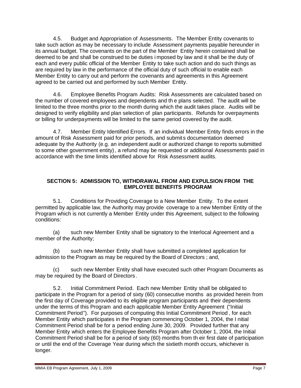4.5. Budget and Appropriation of Assessments. The Member Entity covenants to take such action as may be necessary to include Assessment payments payable hereunder in its annual budget. The covenants on the part of the Member Entity herein contained shall be deemed to be and shall be construed to be duties i mposed by law and it shall be the duty of each and every public official of the Member Entity to take such action and do such things as are required by law in the performance of the official duty of such official to enable each Member Entity to carry out and perform the covenants and agreements in this Agreement agreed to be carried out and performed by such Member Entity.

4.6. Employee Benefits Program Audits: Risk Assessments are calculated based on the number of covered employees and dependents and th e plans selected. The audit will be limited to the three months prior to the month during which the audit takes place. Audits will be designed to verify eligibility and plan selection of plan participants. Refunds for overpayments or billing for underpayments will be limited to the same period covered by the audit.

4.7. Member Entity Identified Errors. If an individual Member Entity finds errors in the amount of Risk Assessment paid for prior periods, and submits documentation deemed adequate by the Authority (e.g. an independent audit or authorized change to reports submitted to some other government entity), a refund may be requested or additional Assessments paid in accordance with the time limits identified above for Risk Assessment audits.

#### **SECTION 5: ADMISSION TO, WITHDRAWAL FROM AND EXPULSION FROM THE EMPLOYEE BENEFITS PROGRAM**

5.1. Conditions for Providing Coverage to a New Member Entity. To the extent permitted by applicable law, the Authority may provide coverage to a new Member Entity of the Program which is not currently a Member Entity under this Agreement, subject to the following conditions:

(a) such new Member Entity shall be signatory to the Interlocal Agreement and a member of the Authority;

(b) such new Member Entity shall have submitted a completed application for admission to the Program as may be required by the Board of Directors ; and,

(c) such new Member Entity shall have executed such other Program Documents as may be required by the Board of Directors .

5.2. Initial Commitment Period. Each new Member Entity shall be obligated to participate in the Program for a period of sixty (60) consecutive months as provided herein from the first day of Coverage provided to its eligible program participants and their dependents under the terms of this Program and each applicable Member Entity Agreement ("Initial Commitment Period"). For purposes of computing this Initial Commitment Period , for each Member Entity which participates in the Program commencing October 1, 2004, the I nitial Commitment Period shall be for a period ending June 30, 2009. Provided further that any Member Entity which enters the Employee Benefits Program after October 1, 2004, the Initial Commitment Period shall be for a period of sixty (60) months from th eir first date of participation or until the end of the Coverage Year during which the sixtieth month occurs, whichever is longer.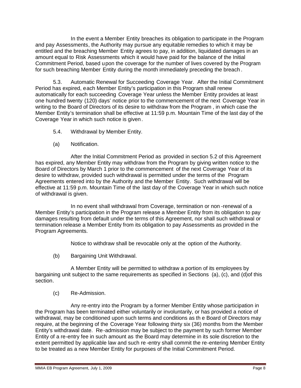In the event a Member Entity breaches its obligation to participate in the Program and pay Assessments, the Authority may pursue any equitable remedies to which it may be entitled and the breaching Member Entity agrees to pay, in addition, liquidated damages in an amount equal to Risk Assessments which it would have paid for the balance of the Initial Commitment Period, based upon the coverage for the number of lives covered by the Program for such breaching Member Entity during the month immediately preceding the breach .

5.3. Automatic Renewal for Succeeding Coverage Year. After the Initial Commitment Period has expired, each Member Entity's participation in this Program shall renew automatically for each succeeding Coverage Year unless the Member Entity provides at least one hundred twenty (120) days' notice prior to the commencement of the next Coverage Year in writing to the Board of Directors of its desire to withdraw from the Program , in which case the Member Entity's termination shall be effective at 11:59 p.m. Mountain Time of the last day of the Coverage Year in which such notice is given.

- 5.4. Withdrawal by Member Entity.
- (a) Notification.

After the Initial Commitment Period as provided in section 5.2 of this Agreement has expired, any Member Entity may withdraw from the Program by giving written notice to the Board of Directors by March 1 prior to the commencement of the next Coverage Year of its desire to withdraw, provided such withdrawal is permitted under the terms of the Program Agreements entered into by the Authority and the Member Entity. Such withdrawal will be effective at 11:59 p.m. Mountain Time of the last day of the Coverage Year in which such notice of withdrawal is given.

In no event shall withdrawal from Coverage, termination or non -renewal of a Member Entity's participation in the Program release a Member Entity from its obligation to pay damages resulting from default under the terms of this Agreement, nor shall such withdrawal or termination release a Member Entity from its obligation to pay Assessments as provided in the Program Agreements.

Notice to withdraw shall be revocable only at the option of the Authority.

(b) Bargaining Unit Withdrawal.

A Member Entity will be permitted to withdraw a portion of its employees by bargaining unit subject to the same requirements as specified in Sections (a), (c), and (d)of this section.

(c) Re-Admission.

Any re-entry into the Program by a former Member Entity whose participation in the Program has been terminated either voluntarily or involuntarily, or has provided a notice of withdrawal, may be conditioned upon such terms and conditions as th e Board of Directors may require, at the beginning of the Coverage Year following thirty six (36) months from the Member Entity's withdrawal date. Re-admission may be subject to the payment by such former Member Entity of a re-entry fee in such amount as the Board may determine in its sole discretion to the extent permitted by applicable law and such re -entry shall commit the re-entering Member Entity to be treated as a new Member Entity for purposes of the Initial Commitment Period.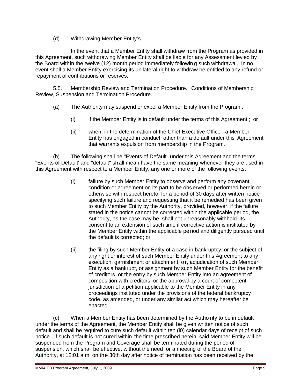(d) Withdrawing Member Entity's.

In the event that a Member Entity shall withdraw from the Program as provided in this Agreement, such withdrawing Member Entity shall be liable for any Assessment levied by the Board within the twelve (12) month period immediately followin g such withdrawal. In no event shall a Member Entity exercising its unilateral right to withdraw be entitled to any refund or repayment of contributions or reserves.

5.5. Membership Review and Termination Procedure. Conditions of Membership Review, Suspension and Termination Procedure.

- (a) The Authority may suspend or expel a Member Entity from the Program :
	- (i) if the Member Entity is in default under the terms of this Agreement ; or
	- (ii) when, in the determination of the Chief Executive Officer, a Member Entity has engaged in conduct, other than a default under this Agreement that warrants expulsion from membership in the Program.

(b) The following shall be "Events of Default" under this Agreement and the terms "Events of Default' and "default" shall mean have the same meaning whenever they are used in this Agreement with respect to a Member Entity, any one or more of the following events:

- (i) failure by such Member Entity to observe and perform any covenant, condition or agreement on its part to be obs erved or performed herein or otherwise with respect hereto, for a period of 30 days after written notice specifying such failure and requesting that it be remedied has been given to such Member Entity by the Authority, provided, however, if the failure stated in the notice cannot be corrected within the applicable period, the Authority, as the case may be, shall not unreasonably withhold its consent to an extension of such time if corrective action is instituted by the Member Entity within the applicable pe riod and diligently pursued until the default is corrected; or
- (ii) the filing by such Member Entity of a case in bankruptcy, or the subject of any right or interest of such Member Entity under this Agreement to any execution, garnishment or attachment, o r, adjudication of such Member Entity as a bankrupt, or assignment by such Member Entity for the benefit of creditors, or the entry by such Member Entity into an agreement of composition with creditors, or the approval by a court of competent jurisdiction of a petition applicable to the Member Entity in any proceedings instituted under the provisions of the federal bankruptcy code, as amended, or under any similar act which may hereafter be enacted.

(c) When a Member Entity has been determined by the Autho rity to be in default under the terms of the Agreement, the Member Entity shall be given written notice of such default and shall be required to cure such default within ten (l0) calendar days of receipt of such notice. If such default is not cured within the time prescribed herein, said Member Entity will be suspended from the Program and Coverage shall be terminated during the period of suspension, which shall be effective, without the need for a meeting of the Board of the Authority, at 12:01 a.m. on the 30th day after notice of termination has been received by the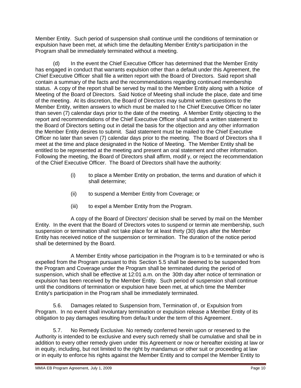Member Entity. Such period of suspension shall continue until the conditions of termination or expulsion have been met, at which time the defaulting Member Entity's participation in the Program shall be immediately terminated without a meeting.

(d) In the event the Chief Executive Officer has determined that the Member Entity has engaged in conduct that warrants expulsion other than a default under this Agreement, the Chief Executive Officer shall file a written report with the Board of Directors. Said report shall contain a summary of the facts and the recommendations regarding continued membership status. A copy of the report shall be served by mail to the Member Entity along with a Notice of Meeting of the Board of Directors. Said Notice of Meeting shall include the place, date and time of the meeting. At its discretion, the Board of Directors may submit written questions to the Member Entity, written answers to which must be mailed to t he Chief Executive Officer no later than seven (7) calendar days prior to the date of the meeting. A Member Entity objecting to the report and recommendations of the Chief Executive Officer shall submit a written statement to the Board of Directors setting out in detail the basis for the objection and any other information the Member Entity desires to submit. Said statement must be mailed to the Chief Executive Officer no later than seven (7) calendar days prior to the meeting. The Board of Directors sha ll meet at the time and place designated in the Notice of Meeting. The Member Entity shall be entitled to be represented at the meeting and present an oral statement and other information. Following the meeting, the Board of Directors shall affirm, modif y, or reject the recommendation of the Chief Executive Officer. The Board of Directors shall have the authority:

- (i) to place a Member Entity on probation, the terms and duration of which it shall determine;
- (ii) to suspend a Member Entity from Coverage; or
- (iii) to expel a Member Entity from the Program.

A copy of the Board of Directors' decision shall be served by mail on the Member Entity. In the event that the Board of Directors votes to suspend or termin ate membership, such suspension or termination shall not take place for at least thirty (30) days after the Member Entity has received notice of the suspension or termination. The duration of the notice period shall be determined by the Board.

A Member Entity whose participation in the Program is to b e terminated or who is expelled from the Program pursuant to this Section 5.5 shall be deemed to be suspended from the Program and Coverage under the Program shall be terminated during the period of suspension, which shall be effective at 12:01 a.m. on the 30th day after notice of termination or expulsion has been received by the Member Entity. Such period of suspension shall continue until the conditions of termination or expulsion have been met, at which time the Member Entity's participation in the Program shall be immediately terminated.

5.6. Damages related to Suspension from, Termination of, or Expulsion from Program. In no event shall involuntary termination or expulsion release a Member Entity of its obligation to pay damages resulting from defau lt under the term of this Agreement.

5.7. No Remedy Exclusive. No remedy conferred herein upon or reserved to the Authority is intended to be exclusive and every such remedy shall be cumulative and shall be in addition to every other remedy given under this Agreement or now or hereafter existing at law or in equity, including, but not limited to the right by mandamus or other suit or proceeding at law or in equity to enforce his rights against the Member Entity and to compel the Member Entity to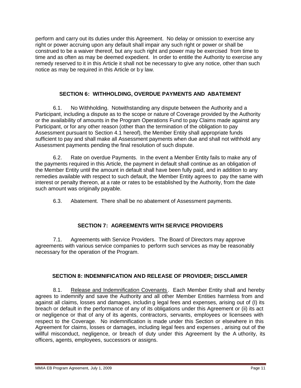perform and carry out its duties under this Agreement. No delay or omission to exercise any right or power accruing upon any default shall impair any such right or power or shall be construed to be a waiver thereof, but any such right and power may be exercised from time to time and as often as may be deemed expedient. In order to entitle the Authority to exercise any remedy reserved to it in this Article it shall not be necessary to give any notice, other than such notice as may be required in this Article or b y law.

### **SECTION 6: WITHHOLDING, OVERDUE PAYMENTS AND ABATEMENT**

6.1. No Withholding. Notwithstanding any dispute between the Authority and a Participant, including a dispute as to the scope or nature of Coverage provided by the Authority or the availability of amounts in the Program Operations Fund to pay Claims made against any Participant, or for any other reason (other than the termination of the obligation to pay Assessment pursuant to Section 4.1 hereof), the Member Entity shall appropriate funds sufficient to pay and shall make all Assessment payments when due and shall not withhold any Assessment payments pending the final resolution of such dispute.

6.2. Rate on overdue Payments. In the event a Member Entity fails to make any of the payments required in this Article, the payment in default shall continue as an obligation of the Member Entity until the amount in default shall have been fully paid, and in addition to any remedies available with respect to such default, the Member Entity agrees to pay the same with interest or penalty thereon, at a rate or rates to be established by the Authority, from the date such amount was originally payable.

6.3. Abatement. There shall be no abatement of Assessment payments.

### **SECTION 7: AGREEMENTS WITH SERVICE PROVIDERS**

7.1. Agreements with Service Providers. The Board of Directors may approve agreements with various service companies to perform such services as may be reasonably necessary for the operation of the Program.

### **SECTION 8: INDEMNIFICATION AND RELEASE OF PROVIDER; DISCLAIMER**

8.1. Release and Indemnification Covenants . Each Member Entity shall and hereby agrees to indemnify and save the Authority and all other Member Entities harmless from and against all claims, losses and damages, includin g legal fees and expenses, arising out of (I) its breach or default in the performance of any of its obligations under this Agreement or (ii) its act or negligence or that of any of its agents, contractors, servants, employees or licensees with respect to the Coverage. No indemnification is made under this Section or elsewhere in this Agreement for claims, losses or damages, including legal fees and expenses , arising out of the willful misconduct, negligence, or breach of duty under this Agreement by the A uthority, its officers, agents, employees, successors or assigns.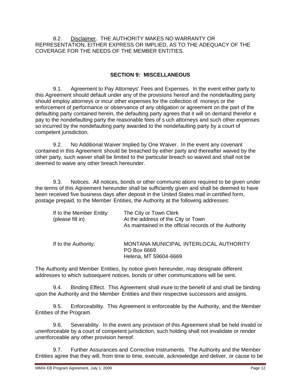8.2. Disclaimer. THE AUTHORITY MAKES NO WARRANTY OR REPRESENTATION, EITHER EXPRESS OR IMPLIED, AS TO THE ADEQUACY OF THE COVERAGE FOR THE NEEDS OF THE MEMBER ENTITIES.

#### **SECTION 9: MISCELLANEOUS**

9.1. Agreement to Pay Attorneys' Fees and Expenses. In the event either party to this Agreement should default under any of the provisions hereof and the nondefaulting party should employ attorneys or incur other expenses for the collection of moneys or the enforcement of performance or observance of any obligation or agreement on the part of the defaulting party contained herein, the defaulting party agrees that it will on demand therefor e pay to the nondefaulting party the reasonable fees of s uch attorneys and such other expenses so incurred by the nondefaulting party awarded to the nondefaulting party by a court of competent jurisdiction.

9.2. No Additional Waiver Implied by One Waiver. In the event any covenant contained in this Agreement should be breached by either party and thereafter waived by the other party, such waiver shall be limited to the particular breach so waived and shall not be deemed to waive any other breach hereunder.

9.3. Notices. All notices, bonds or other communic ations required to be given under the terms of this Agreement hereunder shall be sufficiently given and shall be deemed to have been received five business days after deposit in the United States mail in certified form, postage prepaid, to the Member Entities, the Authority at the following addresses:

| If to the Member Entity:<br>(please fill in) | The City or Town Clerk<br>At the address of the City or Town<br>As maintained in the official records of the Authority |
|----------------------------------------------|------------------------------------------------------------------------------------------------------------------------|
| If to the Authority:                         | MONTANA MUNICIPAL INTERLOCAL AUTHORITY<br>PO Box 6669<br>Helena, MT 59604-6669                                         |

The Authority and Member Entities, by notice given hereunder, may designate different addresses to which subsequent notices, bonds or other communications will be sent.

9.4. Binding Effect. This Agreement shall inure to the benefit of and shall be binding upon the Authority and the Member Entities and their respective successors and assigns.

9.5. Enforceability. This Agreement is enforceable by the Authority, and the Member Entities of the Program.

9.6. Severability. In the event any provision of this Agreement shall be held invalid or unenforceable by a court of competent jurisdiction, such holding shall not invalidate or render unenforceable any other provision hereof.

9.7. Further Assurances and Corrective Instruments. The Authority and the Member Entities agree that they will, from time to time, execute, acknowledge and deliver, or cause to be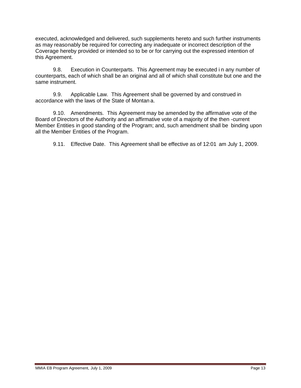executed, acknowledged and delivered, such supplements hereto and such further instruments as may reasonably be required for correcting any inadequate or incorrect description of the Coverage hereby provided or intended so to be or for carrying out the expressed intention of this Agreement.

9.8. Execution in Counterparts. This Agreement may be executed i n any number of counterparts, each of which shall be an original and all of which shall constitute but one and the same instrument.

9.9. Applicable Law. This Agreement shall be governed by and construed in accordance with the laws of the State of Montan a.

9.10. Amendments. This Agreement may be amended by the affirmative vote of the Board of Directors of the Authority and an affirmative vote of a majority of the then -current Member Entities in good standing of the Program; and, such amendment shall be binding upon all the Member Entities of the Program.

9.11. Effective Date. This Agreement shall be effective as of 12:01 am July 1, 2009.